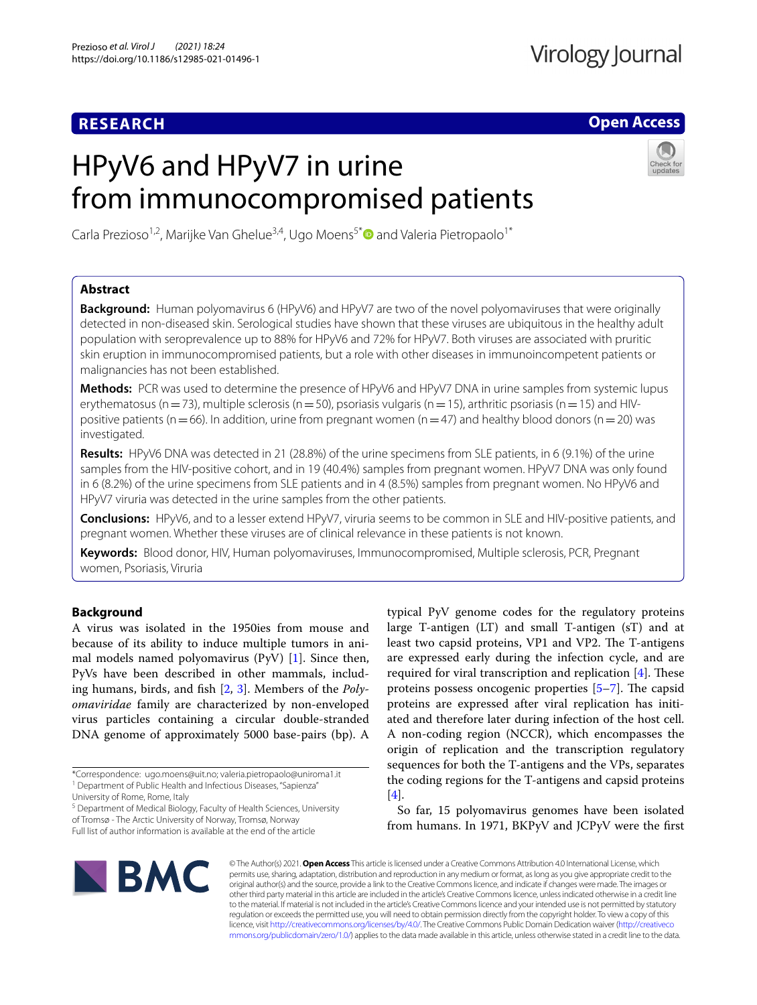# **RESEARCH**

**Open Access**

# HPyV6 and HPyV7 in urine from immunocompromised patients



Carla Prezioso<sup>1,2</sup>, Marijke Van Ghelue<sup>3,4</sup>, Ugo Moens<sup>5\*</sup> and Valeria Pietropaolo<sup>1\*</sup>

# **Abstract**

**Background:** Human polyomavirus 6 (HPyV6) and HPyV7 are two of the novel polyomaviruses that were originally detected in non-diseased skin. Serological studies have shown that these viruses are ubiquitous in the healthy adult population with seroprevalence up to 88% for HPyV6 and 72% for HPyV7. Both viruses are associated with pruritic skin eruption in immunocompromised patients, but a role with other diseases in immunoincompetent patients or malignancies has not been established.

**Methods:** PCR was used to determine the presence of HPyV6 and HPyV7 DNA in urine samples from systemic lupus erythematosus (n = 73), multiple sclerosis (n = 50), psoriasis vulgaris (n = 15), arthritic psoriasis (n = 15) and HIVpositive patients (n = 66). In addition, urine from pregnant women (n = 47) and healthy blood donors (n = 20) was investigated.

**Results:** HPyV6 DNA was detected in 21 (28.8%) of the urine specimens from SLE patients, in 6 (9.1%) of the urine samples from the HIV-positive cohort, and in 19 (40.4%) samples from pregnant women. HPyV7 DNA was only found in 6 (8.2%) of the urine specimens from SLE patients and in 4 (8.5%) samples from pregnant women. No HPyV6 and HPyV7 viruria was detected in the urine samples from the other patients.

**Conclusions:** HPyV6, and to a lesser extend HPyV7, viruria seems to be common in SLE and HIV-positive patients, and pregnant women. Whether these viruses are of clinical relevance in these patients is not known.

**Keywords:** Blood donor, HIV, Human polyomaviruses, Immunocompromised, Multiple sclerosis, PCR, Pregnant women, Psoriasis, Viruria

# **Background**

A virus was isolated in the 1950ies from mouse and because of its ability to induce multiple tumors in animal models named polyomavirus  $(PyV)$  [\[1](#page-4-0)]. Since then, PyVs have been described in other mammals, including humans, birds, and fsh [\[2](#page-4-1), [3\]](#page-4-2). Members of the *Polyomaviridae* family are characterized by non-enveloped virus particles containing a circular double-stranded DNA genome of approximately 5000 base-pairs (bp). A

<sup>5</sup> Department of Medical Biology, Faculty of Health Sciences, University of Tromsø - The Arctic University of Norway, Tromsø, Norway Full list of author information is available at the end of the article

typical PyV genome codes for the regulatory proteins large T-antigen (LT) and small T-antigen (sT) and at least two capsid proteins, VP1 and VP2. The T-antigens are expressed early during the infection cycle, and are required for viral transcription and replication  $[4]$  $[4]$ . These proteins possess oncogenic properties  $[5-7]$  $[5-7]$ . The capsid proteins are expressed after viral replication has initiated and therefore later during infection of the host cell. A non-coding region (NCCR), which encompasses the origin of replication and the transcription regulatory sequences for both the T-antigens and the VPs, separates the coding regions for the T-antigens and capsid proteins [[4\]](#page-4-3).

So far, 15 polyomavirus genomes have been isolated from humans. In 1971, BKPyV and JCPyV were the frst



© The Author(s) 2021. **Open Access** This article is licensed under a Creative Commons Attribution 4.0 International License, which permits use, sharing, adaptation, distribution and reproduction in any medium or format, as long as you give appropriate credit to the original author(s) and the source, provide a link to the Creative Commons licence, and indicate if changes were made. The images or other third party material in this article are included in the article's Creative Commons licence, unless indicated otherwise in a credit line to the material. If material is not included in the article's Creative Commons licence and your intended use is not permitted by statutory regulation or exceeds the permitted use, you will need to obtain permission directly from the copyright holder. To view a copy of this licence, visit [http://creativecommons.org/licenses/by/4.0/.](http://creativecommons.org/licenses/by/4.0/) The Creative Commons Public Domain Dedication waiver ([http://creativeco](http://creativecommons.org/publicdomain/zero/1.0/) [mmons.org/publicdomain/zero/1.0/](http://creativecommons.org/publicdomain/zero/1.0/)) applies to the data made available in this article, unless otherwise stated in a credit line to the data.

<sup>\*</sup>Correspondence: ugo.moens@uit.no; valeria.pietropaolo@uniroma1.it <sup>1</sup> Department of Public Health and Infectious Diseases, "Sapienza"

University of Rome, Rome, Italy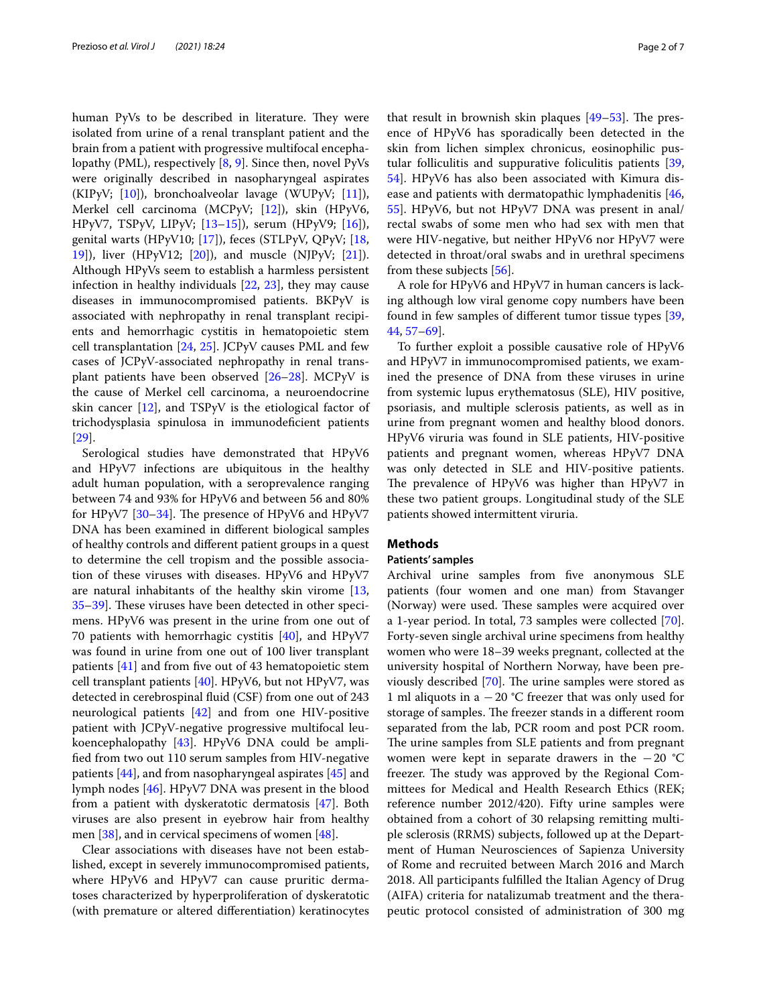human PyVs to be described in literature. They were isolated from urine of a renal transplant patient and the brain from a patient with progressive multifocal encephalopathy (PML), respectively [\[8](#page-4-6), [9\]](#page-4-7). Since then, novel PyVs were originally described in nasopharyngeal aspirates (KIPyV; [\[10](#page-4-8)]), bronchoalveolar lavage (WUPyV; [\[11\]](#page-4-9)), Merkel cell carcinoma (MCPyV; [\[12](#page-4-10)]), skin (HPyV6, HPyV7, TSPyV, LIPyV; [\[13](#page-4-11)[–15](#page-4-12)]), serum (HPyV9; [\[16\]](#page-4-13)), genital warts (HPyV10; [\[17\]](#page-4-14)), feces (STLPyV, QPyV; [\[18](#page-4-15), [19\]](#page-4-16)), liver (HPyV12; [\[20](#page-4-17)]), and muscle (NJPyV; [\[21\]](#page-4-18)). Although HPyVs seem to establish a harmless persistent infection in healthy individuals [[22](#page-4-19), [23\]](#page-4-20), they may cause diseases in immunocompromised patients. BKPyV is associated with nephropathy in renal transplant recipients and hemorrhagic cystitis in hematopoietic stem cell transplantation [\[24](#page-4-21), [25](#page-4-22)]. JCPyV causes PML and few cases of JCPyV-associated nephropathy in renal transplant patients have been observed [\[26](#page-4-23)[–28\]](#page-4-24). MCPyV is the cause of Merkel cell carcinoma, a neuroendocrine skin cancer  $[12]$  $[12]$ , and TSPyV is the etiological factor of trichodysplasia spinulosa in immunodefcient patients [[29\]](#page-4-25).

Serological studies have demonstrated that HPyV6 and HPyV7 infections are ubiquitous in the healthy adult human population, with a seroprevalence ranging between 74 and 93% for HPyV6 and between 56 and 80% for HPyV7  $[30-34]$  $[30-34]$ . The presence of HPyV6 and HPyV7 DNA has been examined in diferent biological samples of healthy controls and diferent patient groups in a quest to determine the cell tropism and the possible association of these viruses with diseases. HPyV6 and HPyV7 are natural inhabitants of the healthy skin virome [\[13](#page-4-11), [35–](#page-5-1)[39](#page-5-2)]. These viruses have been detected in other specimens. HPyV6 was present in the urine from one out of 70 patients with hemorrhagic cystitis  $[40]$  $[40]$ , and HPyV7 was found in urine from one out of 100 liver transplant patients [\[41](#page-5-4)] and from fve out of 43 hematopoietic stem cell transplant patients [[40\]](#page-5-3). HPyV6, but not HPyV7, was detected in cerebrospinal fuid (CSF) from one out of 243 neurological patients [[42](#page-5-5)] and from one HIV-positive patient with JCPyV-negative progressive multifocal leukoencephalopathy [\[43](#page-5-6)]. HPyV6 DNA could be amplifed from two out 110 serum samples from HIV-negative patients [[44\]](#page-5-7), and from nasopharyngeal aspirates [\[45\]](#page-5-8) and lymph nodes [\[46](#page-5-9)]. HPyV7 DNA was present in the blood from a patient with dyskeratotic dermatosis [\[47](#page-5-10)]. Both viruses are also present in eyebrow hair from healthy men [\[38](#page-5-11)], and in cervical specimens of women [\[48\]](#page-5-12).

Clear associations with diseases have not been established, except in severely immunocompromised patients, where HPyV6 and HPyV7 can cause pruritic dermatoses characterized by hyperproliferation of dyskeratotic (with premature or altered diferentiation) keratinocytes that result in brownish skin plaques  $[49-53]$  $[49-53]$  $[49-53]$ . The presence of HPyV6 has sporadically been detected in the skin from lichen simplex chronicus, eosinophilic pustular folliculitis and suppurative foliculitis patients [[39](#page-5-2), [54\]](#page-5-15). HPyV6 has also been associated with Kimura disease and patients with dermatopathic lymphadenitis [[46](#page-5-9), [55\]](#page-5-16). HPyV6, but not HPyV7 DNA was present in anal/ rectal swabs of some men who had sex with men that were HIV-negative, but neither HPyV6 nor HPyV7 were detected in throat/oral swabs and in urethral specimens from these subjects [\[56](#page-5-17)].

A role for HPyV6 and HPyV7 in human cancers is lacking although low viral genome copy numbers have been found in few samples of diferent tumor tissue types [[39](#page-5-2), [44,](#page-5-7) [57–](#page-5-18)[69\]](#page-5-19).

To further exploit a possible causative role of HPyV6 and HPyV7 in immunocompromised patients, we examined the presence of DNA from these viruses in urine from systemic lupus erythematosus (SLE), HIV positive, psoriasis, and multiple sclerosis patients, as well as in urine from pregnant women and healthy blood donors. HPyV6 viruria was found in SLE patients, HIV-positive patients and pregnant women, whereas HPyV7 DNA was only detected in SLE and HIV-positive patients. The prevalence of HPyV6 was higher than HPyV7 in these two patient groups. Longitudinal study of the SLE patients showed intermittent viruria.

# **Methods**

# **Patients' samples**

Archival urine samples from five anonymous SLE patients (four women and one man) from Stavanger (Norway) were used. These samples were acquired over a 1-year period. In total, 73 samples were collected [\[70](#page-5-20)]. Forty-seven single archival urine specimens from healthy women who were 18–39 weeks pregnant, collected at the university hospital of Northern Norway, have been previously described  $[70]$  $[70]$ . The urine samples were stored as 1 ml aliquots in a −20 °C freezer that was only used for storage of samples. The freezer stands in a different room separated from the lab, PCR room and post PCR room. The urine samples from SLE patients and from pregnant women were kept in separate drawers in the  $-20$  °C freezer. The study was approved by the Regional Committees for Medical and Health Research Ethics (REK; reference number 2012/420). Fifty urine samples were obtained from a cohort of 30 relapsing remitting multiple sclerosis (RRMS) subjects, followed up at the Department of Human Neurosciences of Sapienza University of Rome and recruited between March 2016 and March 2018. All participants fulflled the Italian Agency of Drug (AIFA) criteria for natalizumab treatment and the therapeutic protocol consisted of administration of 300 mg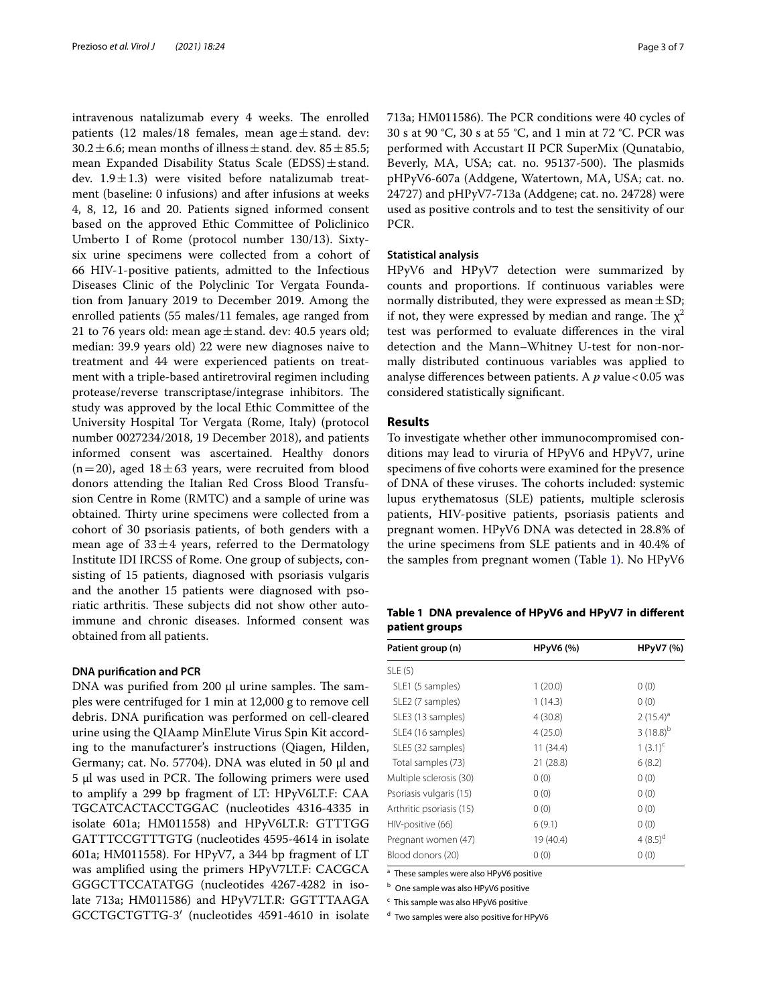intravenous natalizumab every 4 weeks. The enrolled patients (12 males/18 females, mean age $\pm$ stand. dev:  $30.2 \pm 6.6$ ; mean months of illness  $\pm$  stand. dev.  $85 \pm 85.5$ ; mean Expanded Disability Status Scale (EDSS) $\pm$ stand. dev.  $1.9 \pm 1.3$ ) were visited before natalizumab treatment (baseline: 0 infusions) and after infusions at weeks 4, 8, 12, 16 and 20. Patients signed informed consent based on the approved Ethic Committee of Policlinico Umberto I of Rome (protocol number 130/13). Sixtysix urine specimens were collected from a cohort of 66 HIV-1-positive patients, admitted to the Infectious Diseases Clinic of the Polyclinic Tor Vergata Foundation from January 2019 to December 2019. Among the enrolled patients (55 males/11 females, age ranged from 21 to 76 years old: mean age  $\pm$  stand. dev: 40.5 years old; median: 39.9 years old) 22 were new diagnoses naive to treatment and 44 were experienced patients on treatment with a triple-based antiretroviral regimen including protease/reverse transcriptase/integrase inhibitors. The study was approved by the local Ethic Committee of the University Hospital Tor Vergata (Rome, Italy) (protocol number 0027234/2018, 19 December 2018), and patients informed consent was ascertained. Healthy donors  $(n=20)$ , aged  $18\pm63$  years, were recruited from blood donors attending the Italian Red Cross Blood Transfusion Centre in Rome (RMTC) and a sample of urine was obtained. Thirty urine specimens were collected from a cohort of 30 psoriasis patients, of both genders with a mean age of  $33\pm4$  years, referred to the Dermatology Institute IDI IRCSS of Rome. One group of subjects, consisting of 15 patients, diagnosed with psoriasis vulgaris and the another 15 patients were diagnosed with psoriatic arthritis. These subjects did not show other autoimmune and chronic diseases. Informed consent was obtained from all patients.

# **DNA purifcation and PCR**

DNA was purified from  $200 \mu l$  urine samples. The samples were centrifuged for 1 min at 12,000 g to remove cell debris. DNA purifcation was performed on cell-cleared urine using the QIAamp MinElute Virus Spin Kit according to the manufacturer's instructions (Qiagen, Hilden, Germany; cat. No. 57704). DNA was eluted in 50 µl and 5 μl was used in PCR. The following primers were used to amplify a 299 bp fragment of LT: HPyV6LT.F: CAA TGCATCACTACCTGGAC (nucleotides 4316-4335 in isolate 601a; HM011558) and HPyV6LT.R: GTTTGG GATTTCCGTTTGTG (nucleotides 4595-4614 in isolate 601a; HM011558). For HPyV7, a 344 bp fragment of LT was amplifed using the primers HPyV7LT.F: CACGCA GGGCTTCCATATGG (nucleotides 4267-4282 in isolate 713a; HM011586) and HPyV7LT.R: GGTTTAAGA GCCTGCTGTTG-3′ (nucleotides 4591-4610 in isolate 713a; HM011586). The PCR conditions were 40 cycles of 30 s at 90 °C, 30 s at 55 °C, and 1 min at 72 °C. PCR was performed with Accustart II PCR SuperMix (Qunatabio, Beverly, MA, USA; cat. no. 95137-500). The plasmids pHPyV6-607a (Addgene, Watertown, MA, USA; cat. no. 24727) and pHPyV7-713a (Addgene; cat. no. 24728) were used as positive controls and to test the sensitivity of our PCR.

# **Statistical analysis**

HPyV6 and HPyV7 detection were summarized by counts and proportions. If continuous variables were normally distributed, they were expressed as mean  $\pm$  SD; if not, they were expressed by median and range. The  $\chi^2$ test was performed to evaluate diferences in the viral detection and the Mann–Whitney U-test for non-normally distributed continuous variables was applied to analyse differences between patients. A p value < 0.05 was considered statistically signifcant.

# **Results**

To investigate whether other immunocompromised conditions may lead to viruria of HPyV6 and HPyV7, urine specimens of fve cohorts were examined for the presence of DNA of these viruses. The cohorts included: systemic lupus erythematosus (SLE) patients, multiple sclerosis patients, HIV-positive patients, psoriasis patients and pregnant women. HPyV6 DNA was detected in 28.8% of the urine specimens from SLE patients and in 40.4% of the samples from pregnant women (Table [1](#page-2-0)). No HPyV6

# <span id="page-2-0"></span>**Table 1 DNA prevalence of HPyV6 and HPyV7 in diferent patient groups**

| Patient group (n)        | HPyV6 (%) | <b>HPyV7</b> (%) |
|--------------------------|-----------|------------------|
| SLE(5)                   |           |                  |
| SLE1 (5 samples)         | 1(20.0)   | 0(0)             |
| SLE2 (7 samples)         | 1(14.3)   | 0(0)             |
| SLE3 (13 samples)        | 4(30.8)   | $2(15.4)^a$      |
| SLE4 (16 samples)        | 4(25.0)   | $3(18.8)^{b}$    |
| SLE5 (32 samples)        | 11 (34.4) | $1(3.1)^{c}$     |
| Total samples (73)       | 21(28.8)  | 6(8.2)           |
| Multiple sclerosis (30)  | 0(0)      | 0(0)             |
| Psoriasis vulgaris (15)  | 0(0)      | 0(0)             |
| Arthritic psoriasis (15) | 0(0)      | 0(0)             |
| HIV-positive (66)        | 6(9.1)    | 0(0)             |
| Pregnant women (47)      | 19 (40.4) | 4 $(8.5)^d$      |
| Blood donors (20)        | 0(0)      | 0(0)             |

<sup>a</sup> These samples were also HPyV6 positive

**b** One sample was also HPyV6 positive

<sup>c</sup> This sample was also HPyV6 positive

<sup>d</sup> Two samples were also positive for HPyV6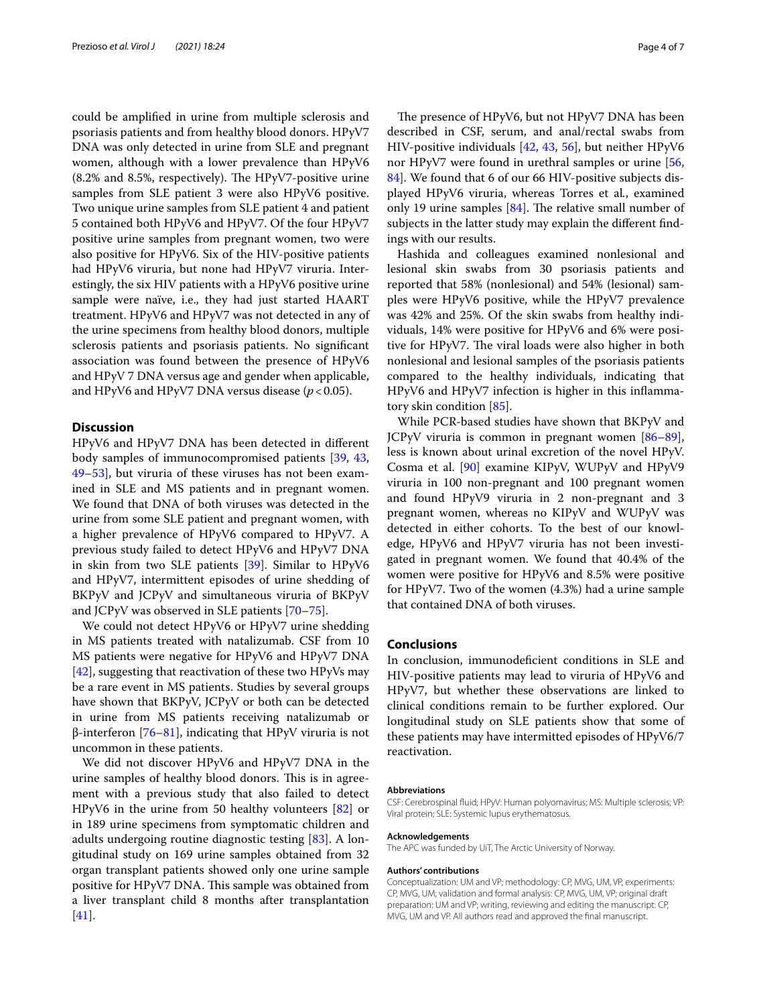could be amplifed in urine from multiple sclerosis and psoriasis patients and from healthy blood donors. HPyV7 DNA was only detected in urine from SLE and pregnant women, although with a lower prevalence than HPyV6  $(8.2\%$  and  $8.5\%$ , respectively). The HPyV7-positive urine samples from SLE patient 3 were also HPyV6 positive. Two unique urine samples from SLE patient 4 and patient 5 contained both HPyV6 and HPyV7. Of the four HPyV7 positive urine samples from pregnant women, two were also positive for HPyV6. Six of the HIV-positive patients had HPyV6 viruria, but none had HPyV7 viruria. Interestingly, the six HIV patients with a HPyV6 positive urine sample were naïve, i.e., they had just started HAART treatment. HPyV6 and HPyV7 was not detected in any of the urine specimens from healthy blood donors, multiple sclerosis patients and psoriasis patients. No signifcant association was found between the presence of HPyV6 and HPyV 7 DNA versus age and gender when applicable, and HPyV6 and HPyV7 DNA versus disease  $(p < 0.05)$ .

# **Discussion**

HPyV6 and HPyV7 DNA has been detected in diferent body samples of immunocompromised patients [[39,](#page-5-2) [43](#page-5-6), [49–](#page-5-13)[53](#page-5-14)], but viruria of these viruses has not been examined in SLE and MS patients and in pregnant women. We found that DNA of both viruses was detected in the urine from some SLE patient and pregnant women, with a higher prevalence of HPyV6 compared to HPyV7. A previous study failed to detect HPyV6 and HPyV7 DNA in skin from two SLE patients [\[39\]](#page-5-2). Similar to HPyV6 and HPyV7, intermittent episodes of urine shedding of BKPyV and JCPyV and simultaneous viruria of BKPyV and JCPyV was observed in SLE patients [\[70](#page-5-20)[–75](#page-6-0)].

We could not detect HPyV6 or HPyV7 urine shedding in MS patients treated with natalizumab. CSF from 10 MS patients were negative for HPyV6 and HPyV7 DNA [ $42$ ], suggesting that reactivation of these two HPyVs may be a rare event in MS patients. Studies by several groups have shown that BKPyV, JCPyV or both can be detected in urine from MS patients receiving natalizumab or β-interferon [[76–](#page-6-1)[81](#page-6-2)], indicating that HPyV viruria is not uncommon in these patients.

We did not discover HPyV6 and HPyV7 DNA in the urine samples of healthy blood donors. This is in agreement with a previous study that also failed to detect HPyV6 in the urine from 50 healthy volunteers [[82\]](#page-6-3) or in 189 urine specimens from symptomatic children and adults undergoing routine diagnostic testing [[83\]](#page-6-4). A longitudinal study on 169 urine samples obtained from 32 organ transplant patients showed only one urine sample positive for HPyV7 DNA. This sample was obtained from a liver transplant child 8 months after transplantation [[41\]](#page-5-4).

The presence of HPyV6, but not HPyV7 DNA has been described in CSF, serum, and anal/rectal swabs from HIV-positive individuals [[42,](#page-5-5) [43,](#page-5-6) [56\]](#page-5-17), but neither HPyV6 nor HPyV7 were found in urethral samples or urine [[56](#page-5-17), [84\]](#page-6-5). We found that 6 of our 66 HIV-positive subjects displayed HPyV6 viruria, whereas Torres et al*.*, examined only 19 urine samples  $[84]$  $[84]$ . The relative small number of subjects in the latter study may explain the diferent fndings with our results.

Hashida and colleagues examined nonlesional and lesional skin swabs from 30 psoriasis patients and reported that 58% (nonlesional) and 54% (lesional) samples were HPyV6 positive, while the HPyV7 prevalence was 42% and 25%. Of the skin swabs from healthy individuals, 14% were positive for HPyV6 and 6% were positive for HPyV7. The viral loads were also higher in both nonlesional and lesional samples of the psoriasis patients compared to the healthy individuals, indicating that HPyV6 and HPyV7 infection is higher in this infammatory skin condition [[85\]](#page-6-6).

While PCR-based studies have shown that BKPyV and JCPyV viruria is common in pregnant women [[86](#page-6-7)[–89](#page-6-8)], less is known about urinal excretion of the novel HPyV. Cosma et al. [[90\]](#page-6-9) examine KIPyV, WUPyV and HPyV9 viruria in 100 non-pregnant and 100 pregnant women and found HPyV9 viruria in 2 non-pregnant and 3 pregnant women, whereas no KIPyV and WUPyV was detected in either cohorts. To the best of our knowledge, HPyV6 and HPyV7 viruria has not been investigated in pregnant women. We found that 40.4% of the women were positive for HPyV6 and 8.5% were positive for HPyV7. Two of the women (4.3%) had a urine sample that contained DNA of both viruses.

# **Conclusions**

In conclusion, immunodeficient conditions in SLE and HIV-positive patients may lead to viruria of HPyV6 and HPyV7, but whether these observations are linked to clinical conditions remain to be further explored. Our longitudinal study on SLE patients show that some of these patients may have intermitted episodes of HPyV6/7 reactivation.

#### **Abbreviations**

CSF: Cerebrospinal fuid; HPyV: Human polyomavirus; MS: Multiple sclerosis; VP: Viral protein; SLE: Systemic lupus erythematosus.

#### **Acknowledgements**

The APC was funded by UiT, The Arctic University of Norway.

#### **Authors' contributions**

Conceptualization: UM and VP; methodology: CP, MVG, UM, VP, experiments: CP, MVG, UM; validation and formal analysis: CP, MVG, UM, VP; original draft preparation: UM and VP; writing, reviewing and editing the manuscript: CP, MVG, UM and VP. All authors read and approved the fnal manuscript.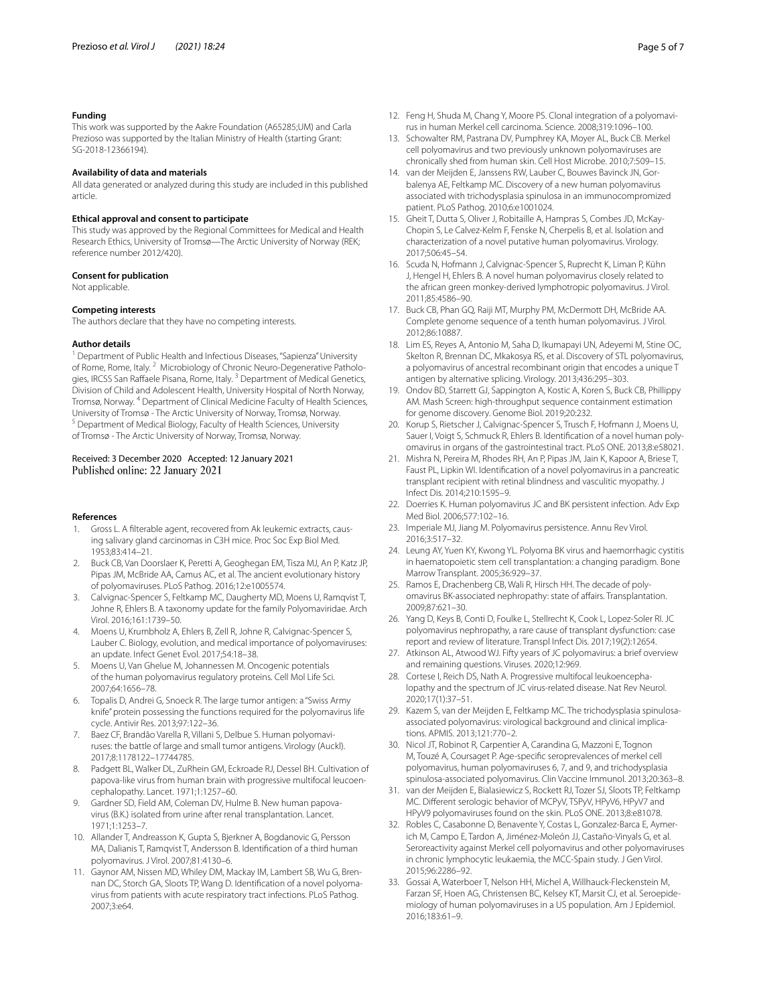#### **Funding**

This work was supported by the Aakre Foundation (A65285;UM) and Carla Prezioso was supported by the Italian Ministry of Health (starting Grant: SG-2018-12366194).

## **Availability of data and materials**

All data generated or analyzed during this study are included in this published article.

#### **Ethical approval and consent to participate**

This study was approved by the Regional Committees for Medical and Health Research Ethics, University of Tromsø—The Arctic University of Norway (REK; reference number 2012/420).

#### **Consent for publication**

Not applicable.

#### **Competing interests**

The authors declare that they have no competing interests.

#### **Author details**

<sup>1</sup> Department of Public Health and Infectious Diseases, "Sapienza" University of Rome, Rome, Italy. 2 Microbiology of Chronic Neuro-Degenerative Pathologies, IRCSS San Raffaele Pisana, Rome, Italy.<sup>3</sup> Department of Medical Genetics, Division of Child and Adolescent Health, University Hospital of North Norway, Tromsø, Norway. <sup>4</sup> Department of Clinical Medicine Faculty of Health Sciences, University of Tromsø - The Arctic University of Norway, Tromsø, Norway. <sup>5</sup> Department of Medical Biology, Faculty of Health Sciences, University of Tromsø - The Arctic University of Norway, Tromsø, Norway.

# Received: 3 December 2020 Accepted: 12 January 2021 Published online: 22 January 2021

#### **References**

- <span id="page-4-0"></span>Gross L. A filterable agent, recovered from Ak leukemic extracts, causing salivary gland carcinomas in C3H mice. Proc Soc Exp Biol Med. 1953;83:414–21.
- <span id="page-4-1"></span>2. Buck CB, Van Doorslaer K, Peretti A, Geoghegan EM, Tisza MJ, An P, Katz JP, Pipas JM, McBride AA, Camus AC, et al. The ancient evolutionary history of polyomaviruses. PLoS Pathog. 2016;12:e1005574.
- <span id="page-4-2"></span>3. Calvignac-Spencer S, Feltkamp MC, Daugherty MD, Moens U, Ramqvist T, Johne R, Ehlers B. A taxonomy update for the family Polyomaviridae. Arch Virol. 2016;161:1739–50.
- <span id="page-4-3"></span>4. Moens U, Krumbholz A, Ehlers B, Zell R, Johne R, Calvignac-Spencer S, Lauber C. Biology, evolution, and medical importance of polyomaviruses: an update. Infect Genet Evol. 2017;54:18–38.
- <span id="page-4-4"></span>5. Moens U, Van Ghelue M, Johannessen M. Oncogenic potentials of the human polyomavirus regulatory proteins. Cell Mol Life Sci. 2007;64:1656–78.
- 6. Topalis D, Andrei G, Snoeck R. The large tumor antigen: a "Swiss Army knife" protein possessing the functions required for the polyomavirus life cycle. Antivir Res. 2013;97:122–36.
- <span id="page-4-5"></span>7. Baez CF, Brandão Varella R, Villani S, Delbue S. Human polyomaviruses: the battle of large and small tumor antigens. Virology (Auckl). 2017;8:1178122–17744785.
- <span id="page-4-6"></span>8. Padgett BL, Walker DL, ZuRhein GM, Eckroade RJ, Dessel BH. Cultivation of papova-like virus from human brain with progressive multifocal leucoencephalopathy. Lancet. 1971;1:1257–60.
- <span id="page-4-7"></span>Gardner SD, Field AM, Coleman DV, Hulme B. New human papovavirus (B.K.) isolated from urine after renal transplantation. Lancet. 1971;1:1253–7.
- <span id="page-4-8"></span>10. Allander T, Andreasson K, Gupta S, Bjerkner A, Bogdanovic G, Persson MA, Dalianis T, Ramqvist T, Andersson B. Identifcation of a third human polyomavirus. J Virol. 2007;81:4130–6.
- <span id="page-4-9"></span>11. Gaynor AM, Nissen MD, Whiley DM, Mackay IM, Lambert SB, Wu G, Brennan DC, Storch GA, Sloots TP, Wang D. Identifcation of a novel polyomavirus from patients with acute respiratory tract infections. PLoS Pathog. 2007;3:e64.
- <span id="page-4-10"></span>12. Feng H, Shuda M, Chang Y, Moore PS. Clonal integration of a polyomavirus in human Merkel cell carcinoma. Science. 2008;319:1096–100.
- <span id="page-4-11"></span>13. Schowalter RM, Pastrana DV, Pumphrey KA, Moyer AL, Buck CB. Merkel cell polyomavirus and two previously unknown polyomaviruses are chronically shed from human skin. Cell Host Microbe. 2010;7:509–15.
- 14. van der Meijden E, Janssens RW, Lauber C, Bouwes Bavinck JN, Gorbalenya AE, Feltkamp MC. Discovery of a new human polyomavirus associated with trichodysplasia spinulosa in an immunocompromized patient. PLoS Pathog. 2010;6:e1001024.
- <span id="page-4-12"></span>15. Gheit T, Dutta S, Oliver J, Robitaille A, Hampras S, Combes JD, McKay-Chopin S, Le Calvez-Kelm F, Fenske N, Cherpelis B, et al. Isolation and characterization of a novel putative human polyomavirus. Virology. 2017;506:45–54.
- <span id="page-4-13"></span>16. Scuda N, Hofmann J, Calvignac-Spencer S, Ruprecht K, Liman P, Kühn J, Hengel H, Ehlers B. A novel human polyomavirus closely related to the african green monkey-derived lymphotropic polyomavirus. J Virol. 2011;85:4586–90.
- <span id="page-4-14"></span>17. Buck CB, Phan GQ, Raiji MT, Murphy PM, McDermott DH, McBride AA. Complete genome sequence of a tenth human polyomavirus. J Virol. 2012;86:10887.
- <span id="page-4-15"></span>18. Lim ES, Reyes A, Antonio M, Saha D, Ikumapayi UN, Adeyemi M, Stine OC, Skelton R, Brennan DC, Mkakosya RS, et al. Discovery of STL polyomavirus, a polyomavirus of ancestral recombinant origin that encodes a unique T antigen by alternative splicing. Virology. 2013;436:295–303.
- <span id="page-4-16"></span>19. Ondov BD, Starrett GJ, Sappington A, Kostic A, Koren S, Buck CB, Phillippy AM. Mash Screen: high-throughput sequence containment estimation for genome discovery. Genome Biol. 2019;20:232.
- <span id="page-4-17"></span>20. Korup S, Rietscher J, Calvignac-Spencer S, Trusch F, Hofmann J, Moens U, Sauer I, Voigt S, Schmuck R, Ehlers B. Identifcation of a novel human polyomavirus in organs of the gastrointestinal tract. PLoS ONE. 2013;8:e58021.
- <span id="page-4-18"></span>21. Mishra N, Pereira M, Rhodes RH, An P, Pipas JM, Jain K, Kapoor A, Briese T, Faust PL, Lipkin WI. Identifcation of a novel polyomavirus in a pancreatic transplant recipient with retinal blindness and vasculitic myopathy. J Infect Dis. 2014;210:1595–9.
- <span id="page-4-19"></span>22. Doerries K. Human polyomavirus JC and BK persistent infection. Adv Exp Med Biol. 2006;577:102–16.
- <span id="page-4-20"></span>23. Imperiale MJ, Jiang M. Polyomavirus persistence. Annu Rev Virol. 2016;3:517–32.
- <span id="page-4-21"></span>24. Leung AY, Yuen KY, Kwong YL. Polyoma BK virus and haemorrhagic cystitis in haematopoietic stem cell transplantation: a changing paradigm. Bone Marrow Transplant. 2005;36:929–37.
- <span id="page-4-22"></span>25. Ramos E, Drachenberg CB, Wali R, Hirsch HH. The decade of polyomavirus BK-associated nephropathy: state of affairs. Transplantation. 2009;87:621–30.
- <span id="page-4-23"></span>26. Yang D, Keys B, Conti D, Foulke L, Stellrecht K, Cook L, Lopez-Soler RI. JC polyomavirus nephropathy, a rare cause of transplant dysfunction: case report and review of literature. Transpl Infect Dis. 2017;19(2):12654.
- 27. Atkinson AL, Atwood WJ. Fifty years of JC polyomavirus: a brief overview and remaining questions. Viruses. 2020;12:969.
- <span id="page-4-24"></span>28. Cortese I, Reich DS, Nath A. Progressive multifocal leukoencephalopathy and the spectrum of JC virus-related disease. Nat Rev Neurol. 2020;17(1):37–51.
- <span id="page-4-25"></span>29. Kazem S, van der Meijden E, Feltkamp MC. The trichodysplasia spinulosaassociated polyomavirus: virological background and clinical implications. APMIS. 2013;121:770–2.
- <span id="page-4-26"></span>30. Nicol JT, Robinot R, Carpentier A, Carandina G, Mazzoni E, Tognon M, Touzé A, Coursaget P. Age-specifc seroprevalences of merkel cell polyomavirus, human polyomaviruses 6, 7, and 9, and trichodysplasia spinulosa-associated polyomavirus. Clin Vaccine Immunol. 2013;20:363–8.
- 31. van der Meijden E, Bialasiewicz S, Rockett RJ, Tozer SJ, Sloots TP, Feltkamp MC. Diferent serologic behavior of MCPyV, TSPyV, HPyV6, HPyV7 and HPyV9 polyomaviruses found on the skin. PLoS ONE. 2013;8:e81078.
- 32. Robles C, Casabonne D, Benavente Y, Costas L, Gonzalez-Barca E, Aymerich M, Campo E, Tardon A, Jiménez-Moleón JJ, Castaño-Vinyals G, et al. Seroreactivity against Merkel cell polyomavirus and other polyomaviruses in chronic lymphocytic leukaemia, the MCC-Spain study. J Gen Virol. 2015;96:2286–92.
- 33. Gossai A, Waterboer T, Nelson HH, Michel A, Willhauck-Fleckenstein M, Farzan SF, Hoen AG, Christensen BC, Kelsey KT, Marsit CJ, et al. Seroepidemiology of human polyomaviruses in a US population. Am J Epidemiol. 2016;183:61–9.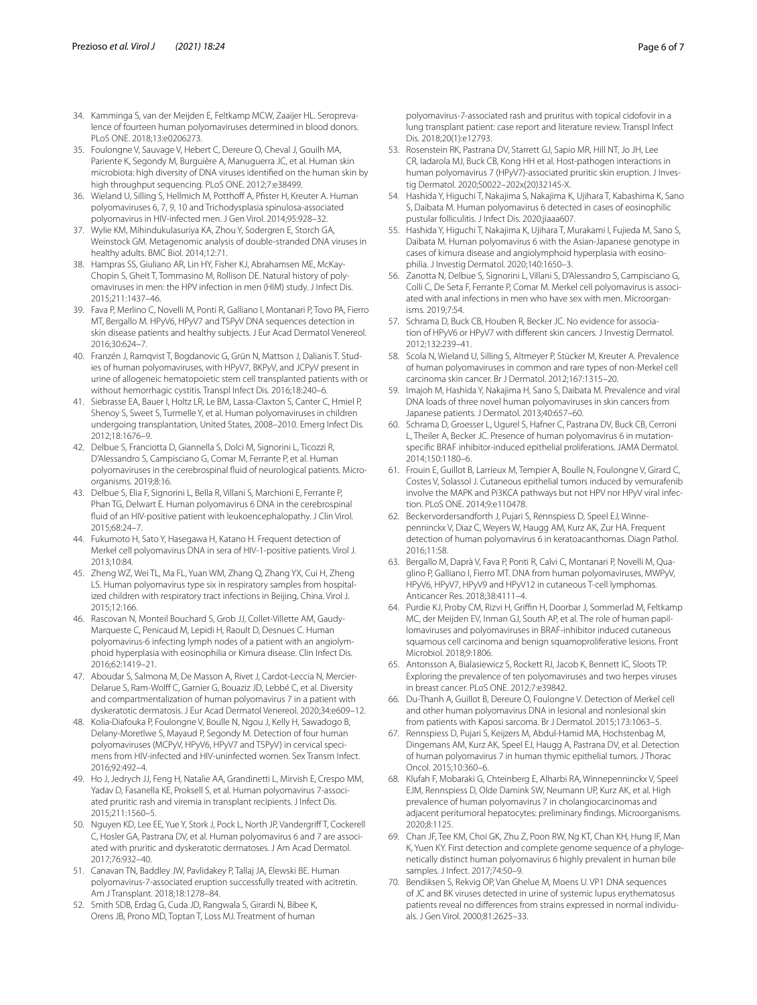- <span id="page-5-0"></span>34. Kamminga S, van der Meijden E, Feltkamp MCW, Zaaijer HL. Seroprevalence of fourteen human polyomaviruses determined in blood donors. PLoS ONE. 2018;13:e0206273.
- <span id="page-5-1"></span>35. Foulongne V, Sauvage V, Hebert C, Dereure O, Cheval J, Gouilh MA, Pariente K, Segondy M, Burguière A, Manuguerra JC, et al. Human skin microbiota: high diversity of DNA viruses identifed on the human skin by high throughput sequencing. PLoS ONE. 2012;7:e38499.
- 36. Wieland U, Silling S, Hellmich M, Potthoff A, Pfister H, Kreuter A. Human polyomaviruses 6, 7, 9, 10 and Trichodysplasia spinulosa-associated polyomavirus in HIV-infected men. J Gen Virol. 2014;95:928–32.
- 37. Wylie KM, Mihindukulasuriya KA, Zhou Y, Sodergren E, Storch GA, Weinstock GM. Metagenomic analysis of double-stranded DNA viruses in healthy adults. BMC Biol. 2014;12:71.
- <span id="page-5-11"></span>38. Hampras SS, Giuliano AR, Lin HY, Fisher KJ, Abrahamsen ME, McKay-Chopin S, Gheit T, Tommasino M, Rollison DE. Natural history of polyomaviruses in men: the HPV infection in men (HIM) study. J Infect Dis. 2015;211:1437–46.
- <span id="page-5-2"></span>39. Fava P, Merlino C, Novelli M, Ponti R, Galliano I, Montanari P, Tovo PA, Fierro MT, Bergallo M. HPyV6, HPyV7 and TSPyV DNA sequences detection in skin disease patients and healthy subjects. J Eur Acad Dermatol Venereol. 2016;30:624–7.
- <span id="page-5-3"></span>40. Franzén J, Ramqvist T, Bogdanovic G, Grün N, Mattson J, Dalianis T. Studies of human polyomaviruses, with HPyV7, BKPyV, and JCPyV present in urine of allogeneic hematopoietic stem cell transplanted patients with or without hemorrhagic cystitis. Transpl Infect Dis. 2016;18:240–6.
- <span id="page-5-4"></span>41. Siebrasse EA, Bauer I, Holtz LR, Le BM, Lassa-Claxton S, Canter C, Hmiel P, Shenoy S, Sweet S, Turmelle Y, et al. Human polyomaviruses in children undergoing transplantation, United States, 2008–2010. Emerg Infect Dis. 2012;18:1676–9.
- <span id="page-5-5"></span>42. Delbue S, Franciotta D, Giannella S, Dolci M, Signorini L, Ticozzi R, D'Alessandro S, Campisciano G, Comar M, Ferrante P, et al. Human polyomaviruses in the cerebrospinal fuid of neurological patients. Microorganisms. 2019;8:16.
- <span id="page-5-6"></span>43. Delbue S, Elia F, Signorini L, Bella R, Villani S, Marchioni E, Ferrante P, Phan TG, Delwart E. Human polyomavirus 6 DNA in the cerebrospinal fuid of an HIV-positive patient with leukoencephalopathy. J Clin Virol. 2015;68:24–7.
- <span id="page-5-7"></span>44. Fukumoto H, Sato Y, Hasegawa H, Katano H. Frequent detection of Merkel cell polyomavirus DNA in sera of HIV-1-positive patients. Virol J. 2013;10:84.
- <span id="page-5-8"></span>45. Zheng WZ, Wei TL, Ma FL, Yuan WM, Zhang Q, Zhang YX, Cui H, Zheng LS. Human polyomavirus type six in respiratory samples from hospitalized children with respiratory tract infections in Beijing, China. Virol J. 2015;12:166.
- <span id="page-5-9"></span>46. Rascovan N, Monteil Bouchard S, Grob JJ, Collet-Villette AM, Gaudy-Marqueste C, Penicaud M, Lepidi H, Raoult D, Desnues C. Human polyomavirus-6 infecting lymph nodes of a patient with an angiolymphoid hyperplasia with eosinophilia or Kimura disease. Clin Infect Dis. 2016;62:1419–21.
- <span id="page-5-10"></span>47. Aboudar S, Salmona M, De Masson A, Rivet J, Cardot-Leccia N, Mercier-Delarue S, Ram-Wolf C, Garnier G, Bouaziz JD, Lebbé C, et al. Diversity and compartmentalization of human polyomavirus 7 in a patient with dyskeratotic dermatosis. J Eur Acad Dermatol Venereol. 2020;34:e609–12.
- <span id="page-5-12"></span>48. Kolia-Diafouka P, Foulongne V, Boulle N, Ngou J, Kelly H, Sawadogo B, Delany-Moretlwe S, Mayaud P, Segondy M. Detection of four human polyomaviruses (MCPyV, HPyV6, HPyV7 and TSPyV) in cervical specimens from HIV-infected and HIV-uninfected women. Sex Transm Infect. 2016;92:492–4.
- <span id="page-5-13"></span>49. Ho J, Jedrych JJ, Feng H, Natalie AA, Grandinetti L, Mirvish E, Crespo MM, Yadav D, Fasanella KE, Proksell S, et al. Human polyomavirus 7-associated pruritic rash and viremia in transplant recipients. J Infect Dis. 2015;211:1560–5.
- 50. Nguyen KD, Lee EE, Yue Y, Stork J, Pock L, North JP, Vandergrif T, Cockerell C, Hosler GA, Pastrana DV, et al. Human polyomavirus 6 and 7 are associated with pruritic and dyskeratotic dermatoses. J Am Acad Dermatol. 2017;76:932–40.
- 51. Canavan TN, Baddley JW, Pavlidakey P, Tallaj JA, Elewski BE. Human polyomavirus-7-associated eruption successfully treated with acitretin. Am J Transplant. 2018;18:1278–84.
- 52. Smith SDB, Erdag G, Cuda JD, Rangwala S, Girardi N, Bibee K, Orens JB, Prono MD, Toptan T, Loss MJ. Treatment of human
- <span id="page-5-14"></span>53. Rosenstein RK, Pastrana DV, Starrett GJ, Sapio MR, Hill NT, Jo JH, Lee CR, Iadarola MJ, Buck CB, Kong HH et al. Host-pathogen interactions in human polyomavirus 7 (HPyV7)-associated pruritic skin eruption. J Investig Dermatol. 2020;S0022–202x(20)32145-X.
- <span id="page-5-15"></span>54. Hashida Y, Higuchi T, Nakajima S, Nakajima K, Ujihara T, Kabashima K, Sano S, Daibata M. Human polyomavirus 6 detected in cases of eosinophilic pustular folliculitis. J Infect Dis. 2020;jiaaa607.
- <span id="page-5-16"></span>55. Hashida Y, Higuchi T, Nakajima K, Ujihara T, Murakami I, Fujieda M, Sano S, Daibata M. Human polyomavirus 6 with the Asian-Japanese genotype in cases of kimura disease and angiolymphoid hyperplasia with eosinophilia. J Investig Dermatol. 2020;140:1650–3.
- <span id="page-5-17"></span>56. Zanotta N, Delbue S, Signorini L, Villani S, D'Alessandro S, Campisciano G, Colli C, De Seta F, Ferrante P, Comar M. Merkel cell polyomavirus is associated with anal infections in men who have sex with men. Microorganisms. 2019;7:54.
- <span id="page-5-18"></span>57. Schrama D, Buck CB, Houben R, Becker JC. No evidence for association of HPyV6 or HPyV7 with diferent skin cancers. J Investig Dermatol. 2012;132:239–41.
- 58. Scola N, Wieland U, Silling S, Altmeyer P, Stücker M, Kreuter A. Prevalence of human polyomaviruses in common and rare types of non-Merkel cell carcinoma skin cancer. Br J Dermatol. 2012;167:1315–20.
- 59. Imajoh M, Hashida Y, Nakajima H, Sano S, Daibata M. Prevalence and viral DNA loads of three novel human polyomaviruses in skin cancers from Japanese patients. J Dermatol. 2013;40:657–60.
- 60. Schrama D, Groesser L, Ugurel S, Hafner C, Pastrana DV, Buck CB, Cerroni L, Theiler A, Becker JC. Presence of human polyomavirus 6 in mutationspecifc BRAF inhibitor-induced epithelial proliferations. JAMA Dermatol. 2014;150:1180–6.
- 61. Frouin E, Guillot B, Larrieux M, Tempier A, Boulle N, Foulongne V, Girard C, Costes V, Solassol J. Cutaneous epithelial tumors induced by vemurafenib involve the MAPK and Pi3KCA pathways but not HPV nor HPyV viral infection. PLoS ONE. 2014;9:e110478.
- 62. Beckervordersandforth J, Pujari S, Rennspiess D, Speel EJ, Winnepenninckx V, Diaz C, Weyers W, Haugg AM, Kurz AK, Zur HA. Frequent detection of human polyomavirus 6 in keratoacanthomas. Diagn Pathol. 2016;11:58.
- 63. Bergallo M, Daprà V, Fava P, Ponti R, Calvi C, Montanari P, Novelli M, Quaglino P, Galliano I, Fierro MT. DNA from human polyomaviruses, MWPyV, HPyV6, HPyV7, HPyV9 and HPyV12 in cutaneous T-cell lymphomas. Anticancer Res. 2018;38:4111–4.
- 64. Purdie KJ, Proby CM, Rizvi H, Griffin H, Doorbar J, Sommerlad M, Feltkamp MC, der Meijden EV, Inman GJ, South AP, et al. The role of human papillomaviruses and polyomaviruses in BRAF-inhibitor induced cutaneous squamous cell carcinoma and benign squamoproliferative lesions. Front Microbiol. 2018;9:1806.
- 65. Antonsson A, Bialasiewicz S, Rockett RJ, Jacob K, Bennett IC, Sloots TP. Exploring the prevalence of ten polyomaviruses and two herpes viruses in breast cancer. PLoS ONE. 2012;7:e39842.
- 66. Du-Thanh A, Guillot B, Dereure O, Foulongne V. Detection of Merkel cell and other human polyomavirus DNA in lesional and nonlesional skin from patients with Kaposi sarcoma. Br J Dermatol. 2015;173:1063–5.
- 67. Rennspiess D, Pujari S, Keijzers M, Abdul-Hamid MA, Hochstenbag M, Dingemans AM, Kurz AK, Speel EJ, Haugg A, Pastrana DV, et al. Detection of human polyomavirus 7 in human thymic epithelial tumors. J Thorac Oncol. 2015;10:360–6.
- 68. Klufah F, Mobaraki G, Chteinberg E, Alharbi RA, Winnepenninckx V, Speel EJM, Rennspiess D, Olde Damink SW, Neumann UP, Kurz AK, et al. High prevalence of human polyomavirus 7 in cholangiocarcinomas and adjacent peritumoral hepatocytes: preliminary fndings. Microorganisms. 2020;8:1125.
- <span id="page-5-19"></span>69. Chan JF, Tee KM, Choi GK, Zhu Z, Poon RW, Ng KT, Chan KH, Hung IF, Man K, Yuen KY. First detection and complete genome sequence of a phylogenetically distinct human polyomavirus 6 highly prevalent in human bile samples. J Infect. 2017;74:50–9.
- <span id="page-5-20"></span>70. Bendiksen S, Rekvig OP, Van Ghelue M, Moens U. VP1 DNA sequences of JC and BK viruses detected in urine of systemic lupus erythematosus patients reveal no diferences from strains expressed in normal individuals. J Gen Virol. 2000;81:2625–33.